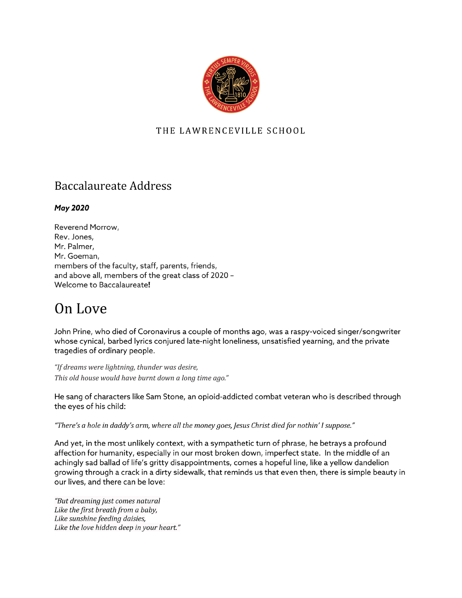

### THE LAWRENCEVILLE SCHOOL

## **Baccalaureate Address**

#### **May 2020**

Reverend Morrow, Rev. Jones, Mr. Palmer, Mr. Goeman, members of the faculty, staff, parents, friends, and above all, members of the great class of 2020 -Welcome to Baccalaureate!

# On Love

John Prine, who died of Coronavirus a couple of months ago, was a raspy-voiced singer/songwriter whose cynical, barbed lyrics conjured late-night loneliness, unsatisfied yearning, and the private tragedies of ordinary people.

"If dreams were lightning, thunder was desire, This old house would have burnt down a long time ago."

He sang of characters like Sam Stone, an opioid-addicted combat veteran who is described through the eyes of his child:

"There's a hole in daddy's arm, where all the money goes, Jesus Christ died for nothin' I suppose."

And yet, in the most unlikely context, with a sympathetic turn of phrase, he betrays a profound affection for humanity, especially in our most broken down, imperfect state. In the middle of an achingly sad ballad of life's gritty disappointments, comes a hopeful line, like a yellow dandelion growing through a crack in a dirty sidewalk, that reminds us that even then, there is simple beauty in our lives, and there can be love:

"But dreaming just comes natural Like the first breath from a baby, Like sunshine feeding daisies, Like the love hidden deep in your heart."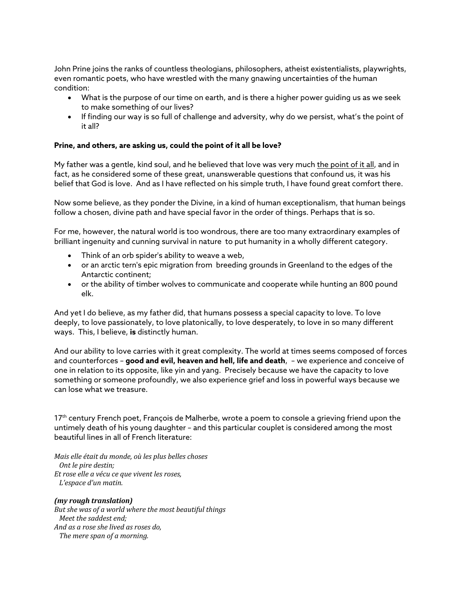John Prine joins the ranks of countless theologians, philosophers, atheist existentialists, playwrights, even romantic poets, who have wrestled with the many gnawing uncertainties of the human condition:

- What is the purpose of our time on earth, and is there a higher power guiding us as we seek to make something of our lives?
- If finding our way is so full of challenge and adversity, why do we persist, what's the point of it all?

#### **Prine, and others, are asking us, could the point of it all be love?**

My father was a gentle, kind soul, and he believed that love was very much the point of it all, and in fact, as he considered some of these great, unanswerable questions that confound us, it was his belief that God is love. And as I have reflected on his simple truth, I have found great comfort there.

Now some believe, as they ponder the Divine, in a kind of human exceptionalism, that human beings follow a chosen, divine path and have special favor in the order of things. Perhaps that is so.

For me, however, the natural world is too wondrous, there are too many extraordinary examples of brilliant ingenuity and cunning survival in nature to put humanity in a wholly different category.

- Think of an orb spider's ability to weave a web,
- or an arctic tern's epic migration from breeding grounds in Greenland to the edges of the Antarctic continent;
- or the ability of timber wolves to communicate and cooperate while hunting an 800 pound elk.

And yet I do believe, as my father did, that humans possess a special capacity to love. To love deeply, to love passionately, to love platonically, to love desperately, to love in so many different ways. This, I believe, **is** distinctly human.

And our ability to love carries with it great complexity. The world at times seems composed of forces and counterforces – **good and evil, heaven and hell, life and death**, – we experience and conceive of one in relation to its opposite, like yin and yang. Precisely because we have the capacity to love something or someone profoundly, we also experience grief and loss in powerful ways because we can lose what we treasure.

17<sup>th</sup> century French poet, François de Malherbe, wrote a poem to console a grieving friend upon the untimely death of his young daughter – and this particular couplet is considered among the most beautiful lines in all of French literature:

*Mais elle était du monde, où les plus belles choses Ont le pire destin; Et rose elle a vécu ce que vivent les roses,* L'espace d'un matin.

#### *(my rough translation)*

But she was of a world where the most beautiful things *Meet the saddest end: And as a rose she lived as roses do,* The mere span of a morning.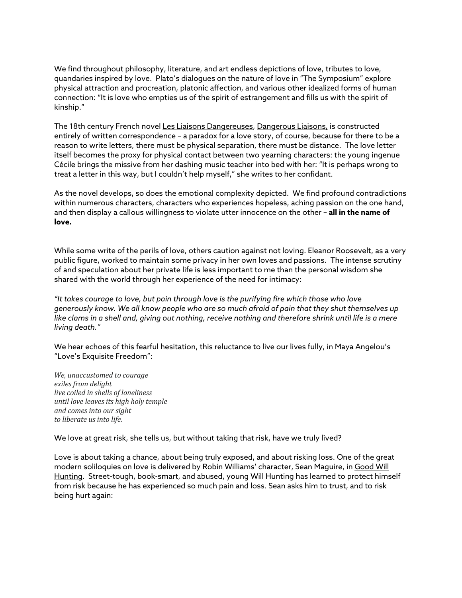We find throughout philosophy, literature, and art endless depictions of love, tributes to love, quandaries inspired by love. Plato's dialogues on the nature of love in "The Symposium" explore physical attraction and procreation, platonic affection, and various other idealized forms of human connection: "It is love who empties us of the spirit of estrangement and fills us with the spirit of kinship."

The 18th century French novel Les Liaisons Dangereuses, Dangerous Liaisons, is constructed entirely of written correspondence – a paradox for a love story, of course, because for there to be a reason to write letters, there must be physical separation, there must be distance. The love letter itself becomes the proxy for physical contact between two yearning characters: the young ingenue Cécile brings the missive from her dashing music teacher into bed with her: "It is perhaps wrong to treat a letter in this way, but I couldn't help myself," she writes to her confidant.

As the novel develops, so does the emotional complexity depicted. We find profound contradictions within numerous characters, characters who experiences hopeless, aching passion on the one hand, and then display a callous willingness to violate utter innocence on the other **– all in the name of love.**

While some write of the perils of love, others caution against not loving. Eleanor Roosevelt, as a very public figure, worked to maintain some privacy in her own loves and passions. The intense scrutiny of and speculation about her private life is less important to me than the personal wisdom she shared with the world through her experience of the need for intimacy:

*"It takes courage to love, but pain through love is the purifying fire which those who love generously know. We all know people who are so much afraid of pain that they shut themselves up like clams in a shell and, giving out nothing, receive nothing and therefore shrink until life is a mere living death."*

We hear echoes of this fearful hesitation, this reluctance to live our lives fully, in Maya Angelou's "Love's Exquisite Freedom":

*We, unaccustomed to courage exiles from delight live coiled in shells of loneliness until love leaves its high holy temple and comes into our sight to liberate us into life.*

We love at great risk, she tells us, but without taking that risk, have we truly lived?

Love is about taking a chance, about being truly exposed, and about risking loss. One of the great modern soliloquies on love is delivered by Robin Williams' character, Sean Maguire, in Good Will Hunting. Street-tough, book-smart, and abused, young Will Hunting has learned to protect himself from risk because he has experienced so much pain and loss. Sean asks him to trust, and to risk being hurt again: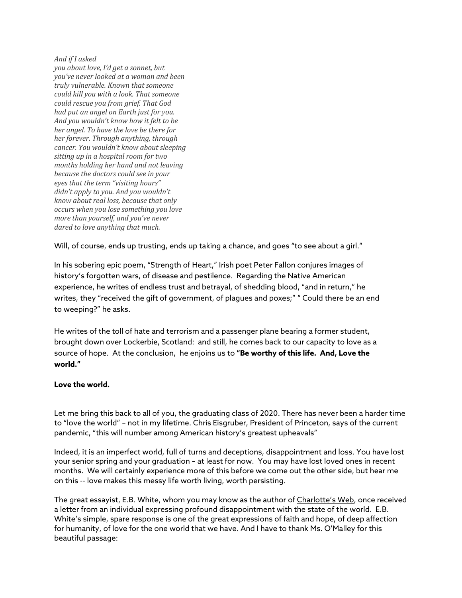#### *And if I asked*

*you about love, I'd get a sonnet, but you've never looked at a woman and been truly vulnerable. Known that someone could kill you with a look. That someone could rescue you from grief. That God had put an angel on Earth just for you.* And you wouldn't know how it felt to be *her angel.* To have the love be there for *her forever.* Through anything, through *cancer. You wouldn't know about sleeping sitting up in a hospital room for two months holding her hand and not leaving because the doctors could see in your eyes that the term "visiting hours"* didn't apply to you. And you wouldn't *know about real loss, because that only occurs when you lose something you love more than yourself, and you've never dared to love anything that much.* 

Will, of course, ends up trusting, ends up taking a chance, and goes "to see about a girl."

In his sobering epic poem, "Strength of Heart," Irish poet Peter Fallon conjures images of history's forgotten wars, of disease and pestilence. Regarding the Native American experience, he writes of endless trust and betrayal, of shedding blood, "and in return," he writes, they "received the gift of government, of plagues and poxes;" " Could there be an end to weeping?" he asks.

He writes of the toll of hate and terrorism and a passenger plane bearing a former student, brought down over Lockerbie, Scotland: and still, he comes back to our capacity to love as a source of hope. At the conclusion, he enjoins us to **"Be worthy of this life. And, Love the world."**

#### **Love the world.**

Let me bring this back to all of you, the graduating class of 2020. There has never been a harder time to "love the world" – not in my lifetime. Chris Eisgruber, President of Princeton, says of the current pandemic, "this will number among American history's greatest upheavals"

Indeed, it is an imperfect world, full of turns and deceptions, disappointment and loss. You have lost your senior spring and your graduation – at least for now. You may have lost loved ones in recent months. We will certainly experience more of this before we come out the other side, but hear me on this -- love makes this messy life worth living, worth persisting.

The great essayist, E.B. White, whom you may know as the author of Charlotte's Web, once received a letter from an individual expressing profound disappointment with the state of the world. E.B. White's simple, spare response is one of the great expressions of faith and hope, of deep affection for humanity, of love for the one world that we have. And I have to thank Ms. O'Malley for this beautiful passage: